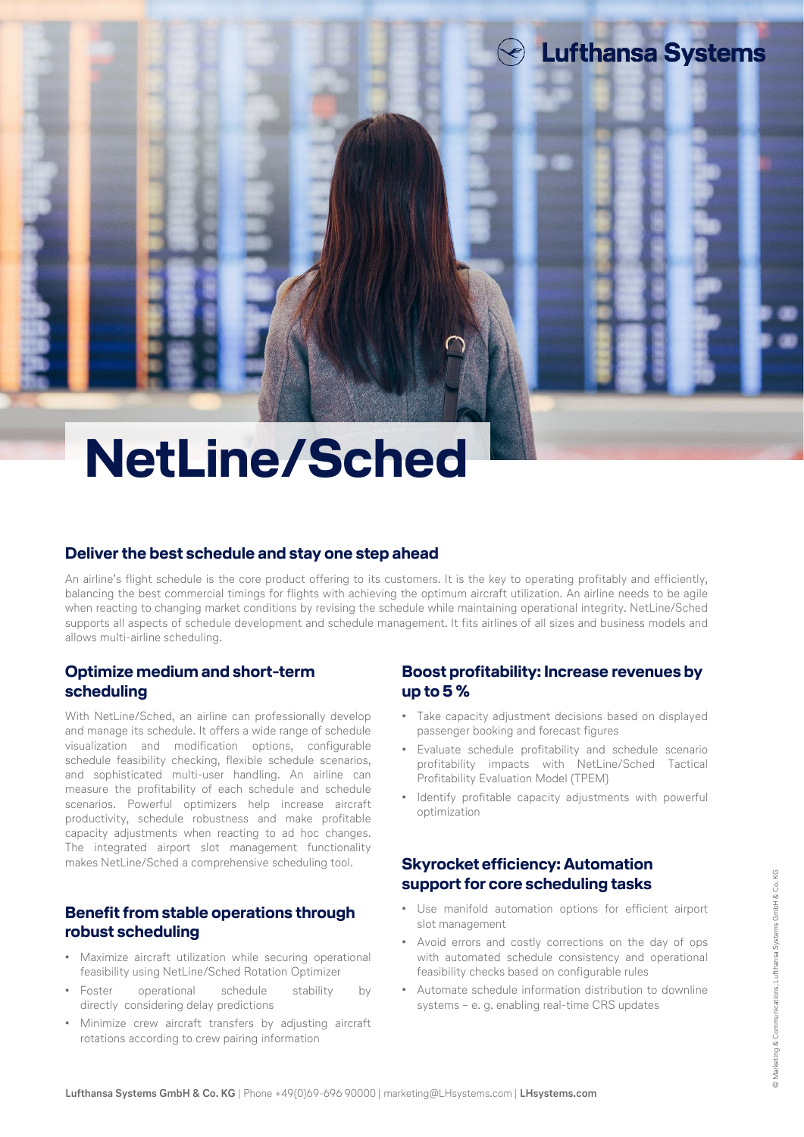# **NetLine/Sched**

### **Deliverthe best schedule and stay one step ahead**

An airline's flight schedule is the core product offering to its customers. It is the key to operating profitably and efficiently, balancing the best commercial timings for flights with achieving the optimum aircraft utilization. An airline needs to be agile when reacting to changing market conditions by revising the schedule while maintaining operational integrity. NetLine/Sched supports all aspects of schedule development and schedule management. It fits airlines of all sizes and business models and allows multi-airline scheduling.

# **Optimize medium and short-term scheduling**

With NetLine/Sched, an airline can professionally develop and manage its schedule. It offers a wide range of schedule visualization and modification options, configurable schedule feasibility checking, flexible schedule scenarios, and sophisticated multi-user handling. An airline can measure the profitability of each schedule and schedule scenarios. Powerful optimizers help increase aircraft productivity, schedule robustness and make profitable capacity adjustments when reacting to ad hoc changes. The integrated airport slot management functionality makes NetLine/Sched a comprehensive scheduling tool.

# **Benefit from stable operations through robust scheduling**

- Maximize aircraft utilization while securing operational feasibility using NetLine/Sched Rotation Optimizer
- Foster operational schedule stability by directly considering delay predictions
- Minimize crew aircraft transfers by adjusting aircraft rotations according to crew pairing information

# **Boost profitability: Increase revenues by up to 5 %**

**Lufthansa Systems** 

- Take capacity adjustment decisions based on displayed passenger booking and forecast figures
- Evaluate schedule profitability and schedule scenario profitability impacts with NetLine/Sched Tactical Profitability Evaluation Model (TPEM)
- Identify profitable capacity adjustments with powerful optimization

# **Skyrocket efficiency: Automation support for core scheduling tasks**

- Use manifold automation options for efficient airport slot management
- Avoid errors and costly corrections on the day of ops with automated schedule consistency and operational feasibility checks based on configurable rules
- Automate schedule information distribution to downline systems – e. g. enabling real-time CRS updates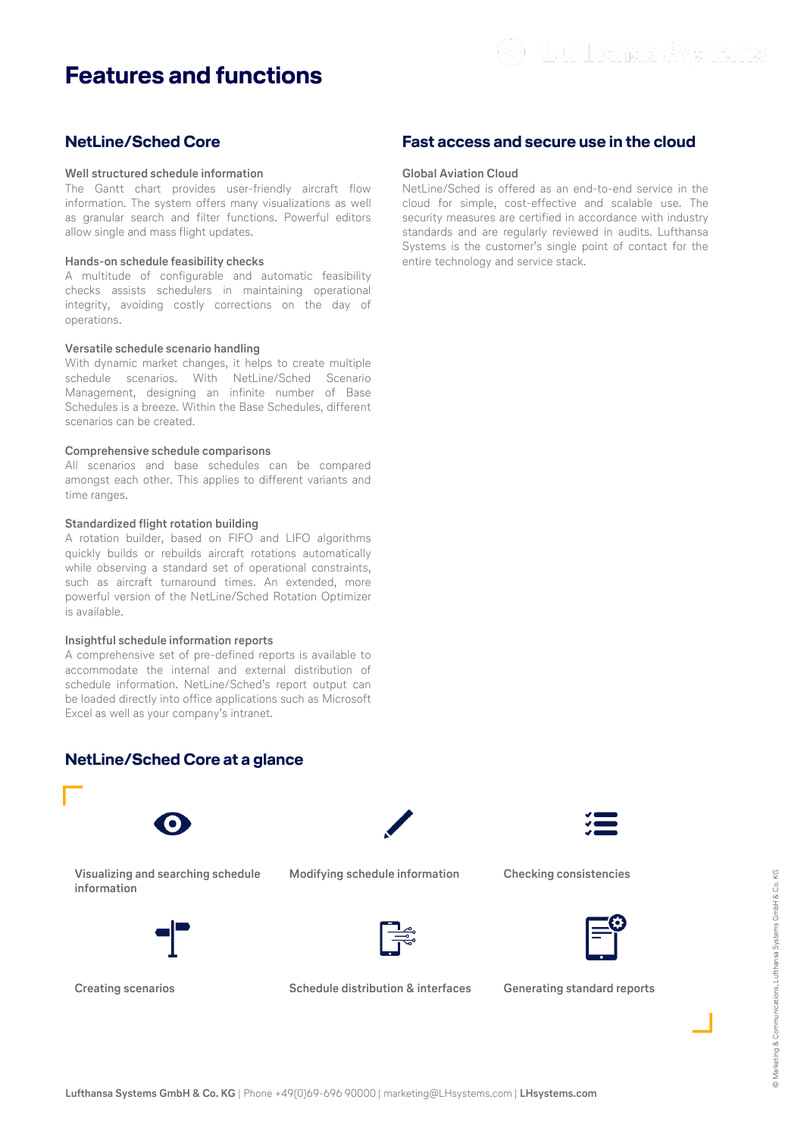# **Features and functions**

# **NetLine/Sched Core**

#### **Well structured schedule information**

The Gantt chart provides user-friendly aircraft flow information. The system offers many visualizations as well as granular search and filter functions. Powerful editors allow single and mass flight updates.

#### **Hands-on schedule feasibility checks**

A multitude of configurable and automatic feasibility checks assists schedulers in maintaining operational integrity, avoiding costly corrections on the day of operations.

#### **Versatile schedule scenario handling**

With dynamic market changes, it helps to create multiple schedule scenarios. With NetLine/Sched Scenario Management, designing an infinite number of Base Schedules is a breeze. Within the Base Schedules, different scenarios can be created.

#### **Comprehensive schedule comparisons**

All scenarios and base schedules can be compared amongst each other. This applies to different variants and time ranges.

#### **Standardized flight rotation building**

A rotation builder, based on FIFO and LIFO algorithms quickly builds or rebuilds aircraft rotations automatically while observing a standard set of operational constraints, such as aircraft turnaround times. An extended, more powerful version of the NetLine/Sched Rotation Optimizer is available.

#### **Insightful schedule information reports**

A comprehensive set of pre-defined reports is available to accommodate the internal and external distribution of schedule information. NetLine/Sched's report output can be loaded directly into office applications such as Microsoft Excel as well as your company's intranet.

## **NetLine/Sched Core at a glance**



**Visualizing and searching schedule information**



**Modifying schedule information Checking consistencies**





**∟**

**Creating scenarios Schedule distribution & interfaces Generating standard reports**

∟

# **Fast access and secure use in the cloud**

#### **Global Aviation Cloud**

NetLine/Sched is offered as an end-to-end service in the cloud for simple, cost-effective and scalable use. The security measures are certified in accordance with industry standards and are regularly reviewed in audits. Lufthansa Systems is the customer's single point of contact for the entire technology and service stack.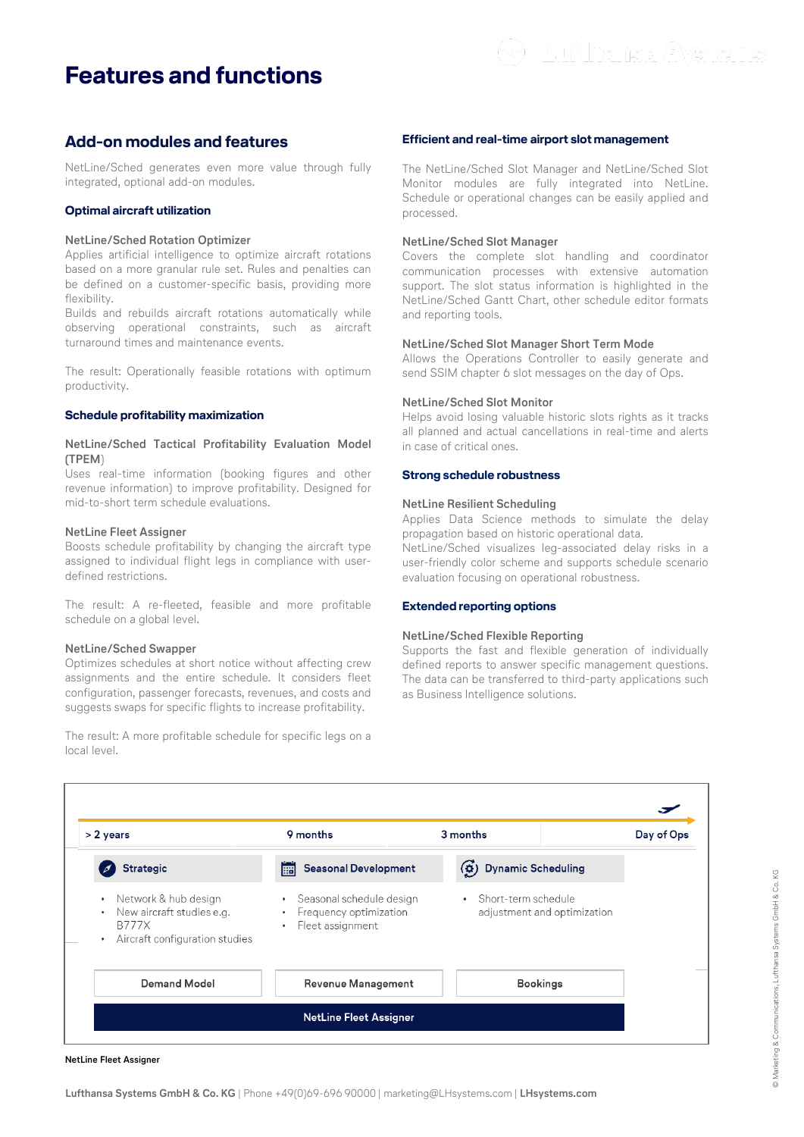# **Features and functions**

## **Add-on modules and features**

NetLine/Sched generates even more value through fully integrated, optional add-on modules.

#### **Optimal aircraft utilization**

#### **NetLine/Sched Rotation Optimizer**

Applies artificial intelligence to optimize aircraft rotations based on a more granular rule set. Rules and penalties can be defined on a customer-specific basis, providing more flexibility.

Builds and rebuilds aircraft rotations automatically while observing operational constraints, such as aircraft turnaround times and maintenance events.

The result: Operationally feasible rotations with optimum productivity.

#### **Schedule profitability maximization**

#### **NetLine/Sched Tactical Profitability Evaluation Model (TPEM**)

Uses real-time information (booking figures and other revenue information) to improve profitability. Designed for mid-to-short term schedule evaluations.

#### **NetLine Fleet Assigner**

Boosts schedule profitability by changing the aircraft type assigned to individual flight legs in compliance with userdefined restrictions.

The result: A re-fleeted, feasible and more profitable schedule on a global level.

#### **NetLine/Sched Swapper**

Optimizes schedules at short notice without affecting crew assignments and the entire schedule. It considers fleet configuration, passenger forecasts, revenues, and costs and suggests swaps for specific flights to increase profitability.

The result: A more profitable schedule for specific legs on a local level.

#### **Efficient and real-time airport slot management**

The NetLine/Sched Slot Manager and NetLine/Sched Slot Monitor modules are fully integrated into NetLine. Schedule or operational changes can be easily applied and processed.

#### **NetLine/Sched Slot Manager**

Covers the complete slot handling and coordinator communication processes with extensive automation support. The slot status information is highlighted in the NetLine/Sched Gantt Chart, other schedule editor formats and reporting tools.

#### **NetLine/Sched Slot Manager Short Term Mode**

Allows the Operations Controller to easily generate and send SSIM chapter 6 slot messages on the day of Ops.

#### **NetLine/Sched Slot Monitor**

Helps avoid losing valuable historic slots rights as it tracks all planned and actual cancellations in real-time and alerts in case of critical ones.

#### **Strong schedule robustness**

#### **NetLine Resilient Scheduling**

Applies Data Science methods to simulate the delay propagation based on historic operational data.

NetLine/Sched visualizes leg-associated delay risks in a user-friendly color scheme and supports schedule scenario evaluation focusing on operational robustness.

#### **Extended reporting options**

#### **NetLine/Sched Flexible Reporting**

Supports the fast and flexible generation of individually defined reports to answer specific management questions. The data can be transferred to third-party applications such as Business Intelligence solutions.